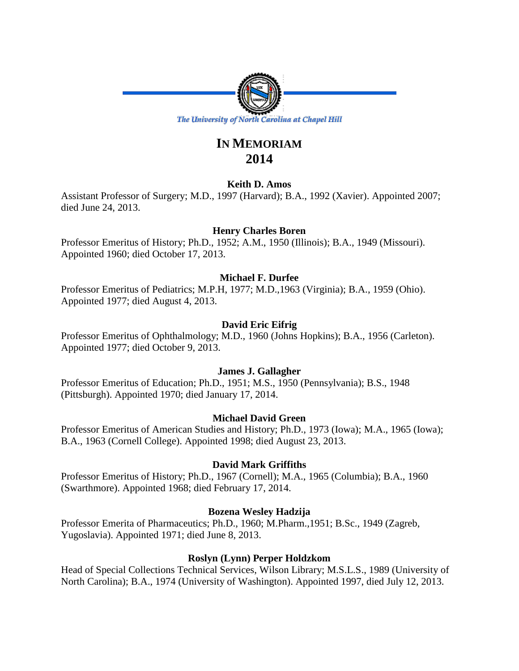

# **IN MEMORIAM 2014**

# **Keith D. Amos**

Assistant Professor of Surgery; M.D., 1997 (Harvard); B.A., 1992 (Xavier). Appointed 2007; died June 24, 2013.

# **Henry Charles Boren**

Professor Emeritus of History; Ph.D., 1952; A.M., 1950 (Illinois); B.A., 1949 (Missouri). Appointed 1960; died October 17, 2013.

# **Michael F. Durfee**

Professor Emeritus of Pediatrics; M.P.H, 1977; M.D.,1963 (Virginia); B.A., 1959 (Ohio). Appointed 1977; died August 4, 2013.

# **David Eric Eifrig**

Professor Emeritus of Ophthalmology; M.D., 1960 (Johns Hopkins); B.A., 1956 (Carleton). Appointed 1977; died October 9, 2013.

# **James J. Gallagher**

Professor Emeritus of Education; Ph.D., 1951; M.S., 1950 (Pennsylvania); B.S., 1948 (Pittsburgh). Appointed 1970; died January 17, 2014.

# **Michael David Green**

Professor Emeritus of American Studies and History; Ph.D., 1973 (Iowa); M.A., 1965 (Iowa); B.A., 1963 (Cornell College). Appointed 1998; died August 23, 2013.

# **David Mark Griffiths**

Professor Emeritus of History; Ph.D., 1967 (Cornell); M.A., 1965 (Columbia); B.A., 1960 (Swarthmore). Appointed 1968; died February 17, 2014.

# **Bozena Wesley Hadzija**

Professor Emerita of Pharmaceutics; Ph.D., 1960; M.Pharm.,1951; B.Sc., 1949 (Zagreb, Yugoslavia). Appointed 1971; died June 8, 2013.

# **Roslyn (Lynn) Perper Holdzkom**

Head of Special Collections Technical Services, Wilson Library; M.S.L.S., 1989 (University of North Carolina); B.A., 1974 (University of Washington). Appointed 1997, died July 12, 2013.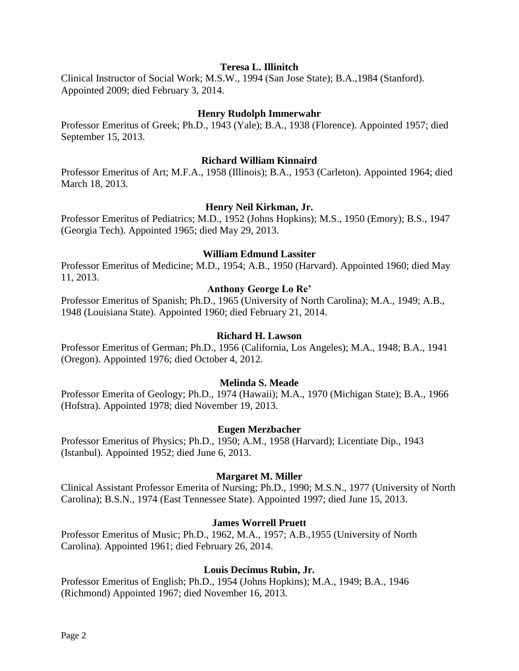#### **Teresa L. Illinitch**

Clinical Instructor of Social Work; M.S.W., 1994 (San Jose State); B.A.,1984 (Stanford). Appointed 2009; died February 3, 2014.

#### **Henry Rudolph Immerwahr**

Professor Emeritus of Greek; Ph.D., 1943 (Yale); B.A., 1938 (Florence). Appointed 1957; died September 15, 2013.

#### **Richard William Kinnaird**

Professor Emeritus of Art; M.F.A., 1958 (Illinois); B.A., 1953 (Carleton). Appointed 1964; died March 18, 2013.

#### **Henry Neil Kirkman, Jr.**

Professor Emeritus of Pediatrics; M.D., 1952 (Johns Hopkins); M.S., 1950 (Emory); B.S., 1947 (Georgia Tech). Appointed 1965; died May 29, 2013.

#### **William Edmund Lassiter**

Professor Emeritus of Medicine; M.D., 1954; A.B., 1950 (Harvard). Appointed 1960; died May 11, 2013.

### **Anthony George Lo Re'**

Professor Emeritus of Spanish; Ph.D., 1965 (University of North Carolina); M.A., 1949; A.B., 1948 (Louisiana State). Appointed 1960; died February 21, 2014.

#### **Richard H. Lawson**

Professor Emeritus of German; Ph.D., 1956 (California, Los Angeles); M.A., 1948; B.A., 1941 (Oregon). Appointed 1976; died October 4, 2012.

#### **Melinda S. Meade**

Professor Emerita of Geology; Ph.D., 1974 (Hawaii); M.A., 1970 (Michigan State); B.A., 1966 (Hofstra). Appointed 1978; died November 19, 2013.

#### **Eugen Merzbacher**

Professor Emeritus of Physics; Ph.D., 1950; A.M., 1958 (Harvard); Licentiate Dip., 1943 (Istanbul). Appointed 1952; died June 6, 2013.

#### **Margaret M. Miller**

Clinical Assistant Professor Emerita of Nursing; Ph.D., 1990; M.S.N., 1977 (University of North Carolina); B.S.N., 1974 (East Tennessee State). Appointed 1997; died June 15, 2013.

#### **James Worrell Pruett**

Professor Emeritus of Music; Ph.D., 1962, M.A., 1957; A.B.,1955 (University of North Carolina). Appointed 1961; died February 26, 2014.

#### **Louis Decimus Rubin, Jr.**

Professor Emeritus of English; Ph.D., 1954 (Johns Hopkins); M.A., 1949; B.A., 1946 (Richmond) Appointed 1967; died November 16, 2013.